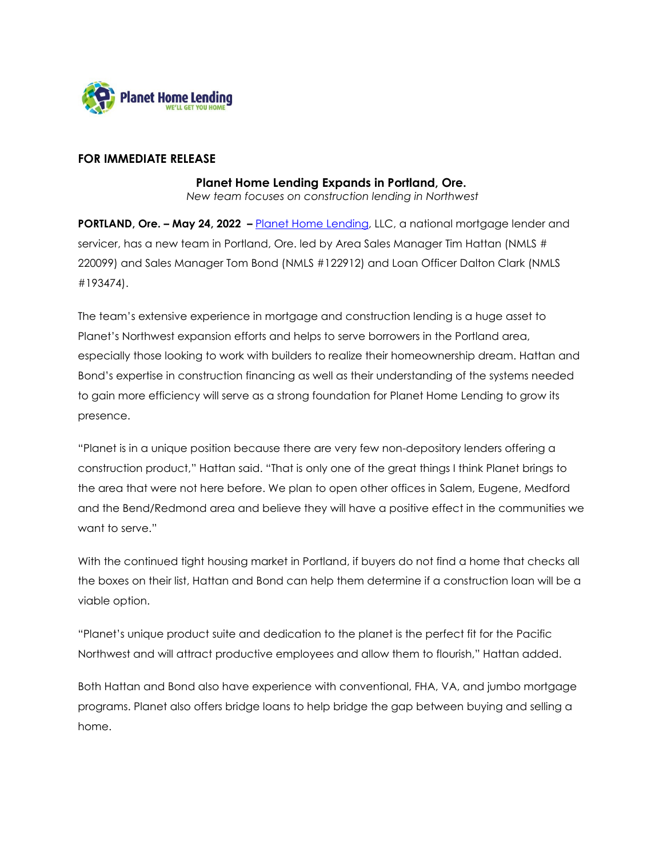

## **FOR IMMEDIATE RELEASE**

## **Planet Home Lending Expands in Portland, Ore.**

*New team focuses on construction lending in Northwest*

**PORTLAND, Ore. – May 24, 2022 –** [Planet Home Lending,](https://planethomelending.com/?utm_source=press-release&utm_medium=web&utm_campaign=Portland) LLC, a national mortgage lender and servicer, has a new team in Portland, Ore. led by Area Sales Manager Tim Hattan (NMLS # 220099) and Sales Manager Tom Bond (NMLS #122912) and Loan Officer Dalton Clark (NMLS #193474).

The team's extensive experience in mortgage and construction lending is a huge asset to Planet's Northwest expansion efforts and helps to serve borrowers in the Portland area, especially those looking to work with builders to realize their homeownership dream. Hattan and Bond's expertise in construction financing as well as their understanding of the systems needed to gain more efficiency will serve as a strong foundation for Planet Home Lending to grow its presence.

"Planet is in a unique position because there are very few non-depository lenders offering a construction product," Hattan said. "That is only one of the great things I think Planet brings to the area that were not here before. We plan to open other offices in Salem, Eugene, Medford and the Bend/Redmond area and believe they will have a positive effect in the communities we want to serve."

With the continued tight housing market in Portland, if buyers do not find a home that checks all the boxes on their list, Hattan and Bond can help them determine if a construction loan will be a viable option.

"Planet's unique product suite and dedication to the planet is the perfect fit for the Pacific Northwest and will attract productive employees and allow them to flourish," Hattan added.

Both Hattan and Bond also have experience with conventional, FHA, VA, and jumbo mortgage programs. Planet also offers bridge loans to help bridge the gap between buying and selling a home.